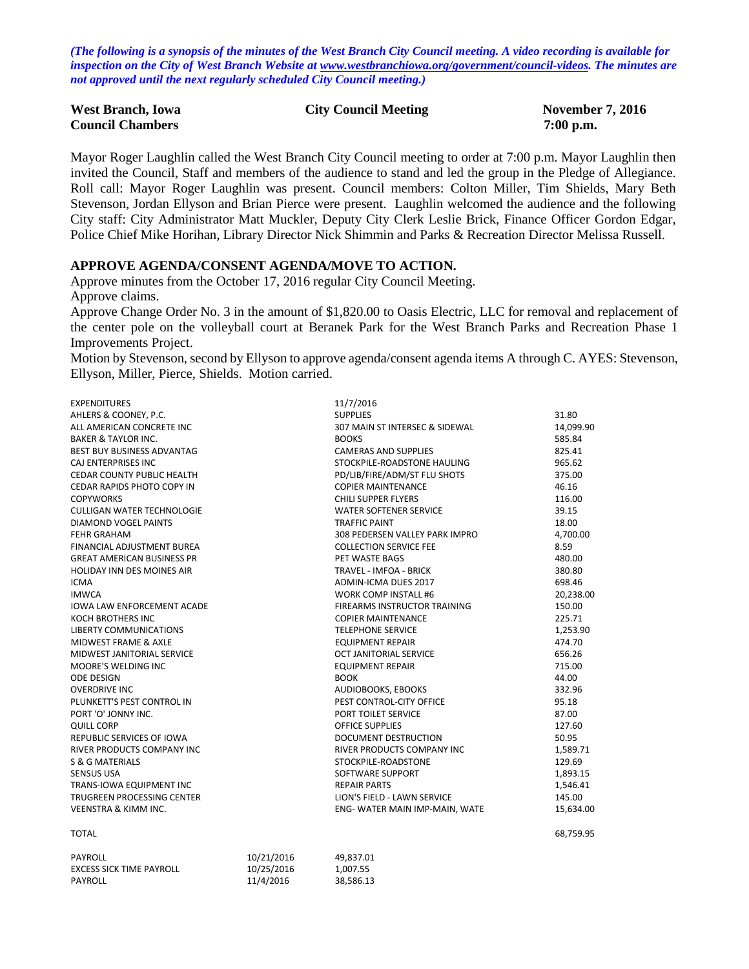*(The following is a synopsis of the minutes of the West Branch City Council meeting. A video recording is available for inspection on the City of West Branch Website at [www.westbranchiowa.org/government/council-videos.](http://www.westbranchiowa.org/government/council-videos) The minutes are not approved until the next regularly scheduled City Council meeting.)*

| <b>West Branch, Iowa</b> | <b>City Council Meeting</b> | <b>November 7, 2016</b> |
|--------------------------|-----------------------------|-------------------------|
| <b>Council Chambers</b>  |                             | $7:00$ p.m.             |

Mayor Roger Laughlin called the West Branch City Council meeting to order at 7:00 p.m. Mayor Laughlin then invited the Council, Staff and members of the audience to stand and led the group in the Pledge of Allegiance. Roll call: Mayor Roger Laughlin was present. Council members: Colton Miller, Tim Shields, Mary Beth Stevenson, Jordan Ellyson and Brian Pierce were present. Laughlin welcomed the audience and the following City staff: City Administrator Matt Muckler, Deputy City Clerk Leslie Brick, Finance Officer Gordon Edgar, Police Chief Mike Horihan, Library Director Nick Shimmin and Parks & Recreation Director Melissa Russell.

#### **APPROVE AGENDA/CONSENT AGENDA/MOVE TO ACTION.**

Approve minutes from the October 17, 2016 regular City Council Meeting. Approve claims.

Approve Change Order No. 3 in the amount of \$1,820.00 to Oasis Electric, LLC for removal and replacement of the center pole on the volleyball court at Beranek Park for the West Branch Parks and Recreation Phase 1 Improvements Project.

Motion by Stevenson, second by Ellyson to approve agenda/consent agenda items A through C. AYES: Stevenson, Ellyson, Miller, Pierce, Shields. Motion carried.

| <b>EXPENDITURES</b>               | 11/7/2016                      |           |
|-----------------------------------|--------------------------------|-----------|
| AHLERS & COONEY, P.C.             | <b>SUPPLIES</b>                | 31.80     |
| ALL AMERICAN CONCRETE INC         | 307 MAIN ST INTERSEC & SIDEWAL | 14.099.90 |
| <b>BAKER &amp; TAYLOR INC.</b>    | <b>BOOKS</b>                   | 585.84    |
| BEST BUY BUSINESS ADVANTAG        | <b>CAMERAS AND SUPPLIES</b>    | 825.41    |
| CAJ ENTERPRISES INC               | STOCKPILE-ROADSTONE HAULING    | 965.62    |
| <b>CEDAR COUNTY PUBLIC HEALTH</b> | PD/LIB/FIRE/ADM/ST FLU SHOTS   | 375.00    |
| CEDAR RAPIDS PHOTO COPY IN        | <b>COPIER MAINTENANCE</b>      | 46.16     |
| <b>COPYWORKS</b>                  | CHILI SUPPER FLYERS            | 116.00    |
| <b>CULLIGAN WATER TECHNOLOGIE</b> | <b>WATER SOFTENER SERVICE</b>  | 39.15     |
| DIAMOND VOGEL PAINTS              | <b>TRAFFIC PAINT</b>           | 18.00     |
| <b>FEHR GRAHAM</b>                | 308 PEDERSEN VALLEY PARK IMPRO | 4,700.00  |
| FINANCIAL ADJUSTMENT BUREA        | <b>COLLECTION SERVICE FEE</b>  | 8.59      |
| <b>GREAT AMERICAN BUSINESS PR</b> | PET WASTE BAGS                 | 480.00    |
| <b>HOLIDAY INN DES MOINES AIR</b> | TRAVEL - IMFOA - BRICK         | 380.80    |
| <b>ICMA</b>                       | ADMIN-ICMA DUES 2017           | 698.46    |
| <b>IMWCA</b>                      | <b>WORK COMP INSTALL #6</b>    | 20,238.00 |
| <b>IOWA LAW ENFORCEMENT ACADE</b> | FIREARMS INSTRUCTOR TRAINING   | 150.00    |
| KOCH BROTHERS INC                 | <b>COPIER MAINTENANCE</b>      | 225.71    |
| <b>LIBERTY COMMUNICATIONS</b>     | <b>TELEPHONE SERVICE</b>       | 1,253.90  |
| MIDWEST FRAME & AXLE              | <b>EQUIPMENT REPAIR</b>        | 474.70    |
| MIDWEST JANITORIAL SERVICE        | <b>OCT JANITORIAL SERVICE</b>  | 656.26    |
| MOORE'S WELDING INC               | <b>EQUIPMENT REPAIR</b>        | 715.00    |
| <b>ODE DESIGN</b>                 | <b>BOOK</b>                    | 44.00     |
| <b>OVERDRIVE INC</b>              | AUDIOBOOKS, EBOOKS             | 332.96    |
| PLUNKETT'S PEST CONTROL IN        | PEST CONTROL-CITY OFFICE       | 95.18     |
| PORT 'O' JONNY INC.               | PORT TOILET SERVICE            | 87.00     |
| <b>QUILL CORP</b>                 | <b>OFFICE SUPPLIES</b>         | 127.60    |
| REPUBLIC SERVICES OF IOWA         | <b>DOCUMENT DESTRUCTION</b>    | 50.95     |
| <b>RIVER PRODUCTS COMPANY INC</b> | RIVER PRODUCTS COMPANY INC     | 1,589.71  |
| S & G MATERIALS                   | STOCKPILE-ROADSTONE            | 129.69    |
| <b>SENSUS USA</b>                 | SOFTWARE SUPPORT               | 1,893.15  |
| TRANS-IOWA EQUIPMENT INC          | <b>REPAIR PARTS</b>            | 1,546.41  |
| TRUGREEN PROCESSING CENTER        | LION'S FIELD - LAWN SERVICE    | 145.00    |
| <b>VEENSTRA &amp; KIMM INC.</b>   | ENG- WATER MAIN IMP-MAIN, WATE | 15,634.00 |
|                                   |                                |           |

| PAYROLL                  | 10/21/2016 | 49.837.01 |
|--------------------------|------------|-----------|
| EXCESS SICK TIME PAYROLL | 10/25/2016 | 1.007.55  |
| PAYROLL                  | 11/4/2016  | 38.586.13 |

TOTAL 68,759.95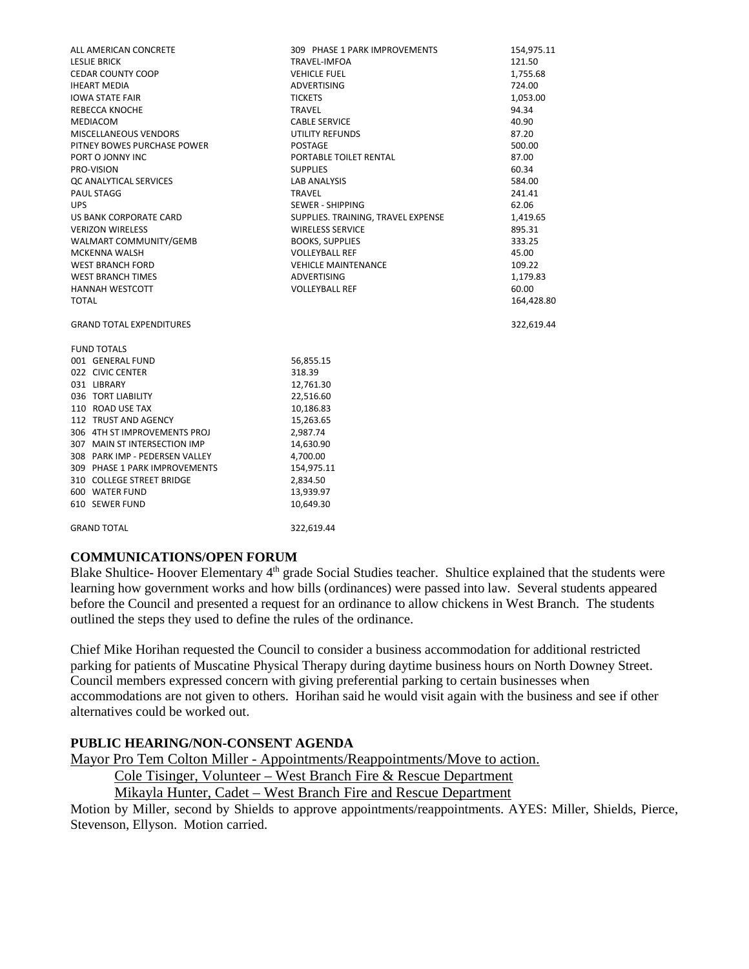| ALL AMERICAN CONCRETE           | 309 PHASE 1 PARK IMPROVEMENTS      | 154,975.11 |
|---------------------------------|------------------------------------|------------|
| <b>LESLIE BRICK</b>             | TRAVEL-IMFOA                       | 121.50     |
| <b>CEDAR COUNTY COOP</b>        | <b>VEHICLE FUEL</b>                | 1,755.68   |
| <b>IHEART MEDIA</b>             | <b>ADVERTISING</b>                 | 724.00     |
| <b>IOWA STATE FAIR</b>          | <b>TICKETS</b>                     | 1,053.00   |
| REBECCA KNOCHE                  | <b>TRAVEL</b>                      | 94.34      |
| MEDIACOM                        | <b>CABLE SERVICE</b>               | 40.90      |
| MISCELLANEOUS VENDORS           | UTILITY REFUNDS                    | 87.20      |
| PITNEY BOWES PURCHASE POWER     | <b>POSTAGE</b>                     | 500.00     |
| PORT O JONNY INC                | PORTABLE TOILET RENTAL             | 87.00      |
| PRO-VISION                      | <b>SUPPLIES</b>                    | 60.34      |
| QC ANALYTICAL SERVICES          | <b>LAB ANALYSIS</b>                | 584.00     |
| PAUL STAGG                      | <b>TRAVEL</b>                      | 241.41     |
| <b>UPS</b>                      | SEWER - SHIPPING                   | 62.06      |
| US BANK CORPORATE CARD          | SUPPLIES. TRAINING, TRAVEL EXPENSE | 1,419.65   |
| <b>VERIZON WIRELESS</b>         | <b>WIRELESS SERVICE</b>            | 895.31     |
| WALMART COMMUNITY/GEMB          | <b>BOOKS, SUPPLIES</b>             | 333.25     |
| <b>MCKENNA WALSH</b>            | <b>VOLLEYBALL REF</b>              | 45.00      |
| <b>WEST BRANCH FORD</b>         | <b>VEHICLE MAINTENANCE</b>         | 109.22     |
| <b>WEST BRANCH TIMES</b>        | ADVERTISING                        | 1,179.83   |
| <b>HANNAH WESTCOTT</b>          | <b>VOLLEYBALL REF</b>              | 60.00      |
| <b>TOTAL</b>                    |                                    | 164,428.80 |
| <b>GRAND TOTAL EXPENDITURES</b> |                                    | 322,619.44 |
|                                 |                                    |            |
| <b>FUND TOTALS</b>              |                                    |            |
| 001 GENERAL FUND                | 56,855.15                          |            |
| 022 CIVIC CENTER                | 318.39                             |            |
| 031 LIBRARY                     | 12,761.30                          |            |
| 036 TORT LIABILITY              | 22,516.60                          |            |
| 110 ROAD USE TAX                | 10,186.83                          |            |
| 112 TRUST AND AGENCY            | 15,263.65                          |            |
| 306 4TH ST IMPROVEMENTS PROJ    | 2,987.74                           |            |
| 307 MAIN ST INTERSECTION IMP    | 14,630.90                          |            |
| 308 PARK IMP - PEDERSEN VALLEY  | 4,700.00                           |            |
| 309 PHASE 1 PARK IMPROVEMENTS   | 154,975.11                         |            |
| 310 COLLEGE STREET BRIDGE       | 2,834.50                           |            |
| 600 WATER FUND                  | 13,939.97                          |            |
| 610 SEWER FUND                  | 10,649.30                          |            |
| <b>GRAND TOTAL</b>              | 322.619.44                         |            |

# **COMMUNICATIONS/OPEN FORUM**

Blake Shultice- Hoover Elementary 4<sup>th</sup> grade Social Studies teacher. Shultice explained that the students were learning how government works and how bills (ordinances) were passed into law. Several students appeared before the Council and presented a request for an ordinance to allow chickens in West Branch. The students outlined the steps they used to define the rules of the ordinance.

Chief Mike Horihan requested the Council to consider a business accommodation for additional restricted parking for patients of Muscatine Physical Therapy during daytime business hours on North Downey Street. Council members expressed concern with giving preferential parking to certain businesses when accommodations are not given to others. Horihan said he would visit again with the business and see if other alternatives could be worked out.

#### **PUBLIC HEARING/NON-CONSENT AGENDA**

Mayor Pro Tem Colton Miller - Appointments/Reappointments/Move to action.

Cole Tisinger, Volunteer – West Branch Fire & Rescue Department

Mikayla Hunter, Cadet – West Branch Fire and Rescue Department

Motion by Miller, second by Shields to approve appointments/reappointments. AYES: Miller, Shields, Pierce, Stevenson, Ellyson. Motion carried.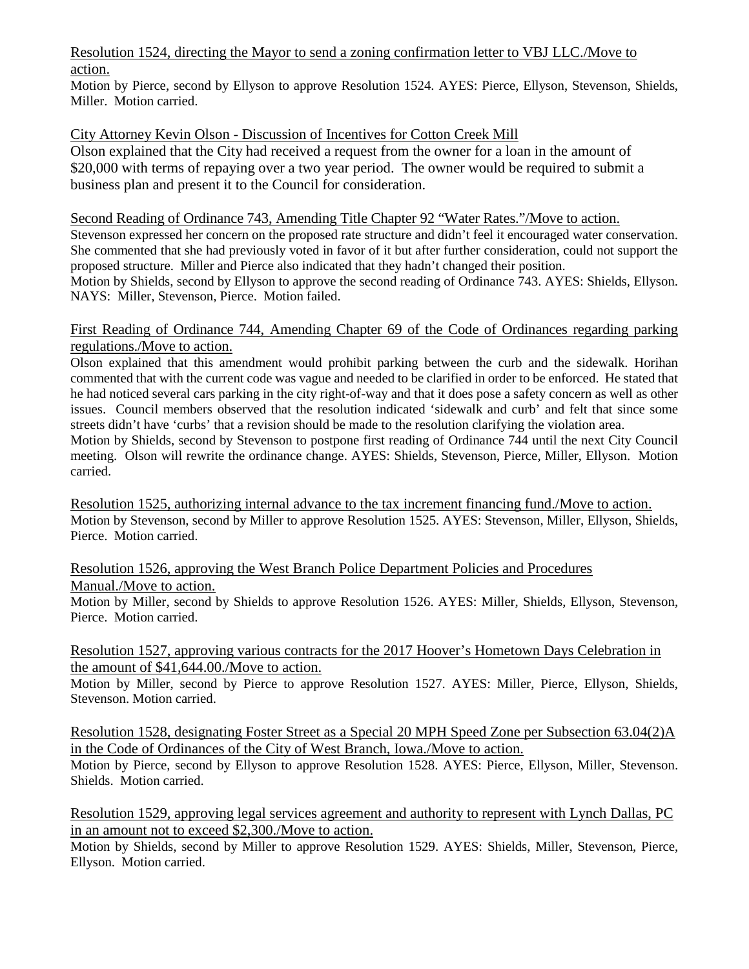#### Resolution 1524, directing the Mayor to send a zoning confirmation letter to VBJ LLC./Move to action.

Motion by Pierce, second by Ellyson to approve Resolution 1524. AYES: Pierce, Ellyson, Stevenson, Shields, Miller. Motion carried.

# City Attorney Kevin Olson - Discussion of Incentives for Cotton Creek Mill

Olson explained that the City had received a request from the owner for a loan in the amount of \$20,000 with terms of repaying over a two year period. The owner would be required to submit a business plan and present it to the Council for consideration.

#### Second Reading of Ordinance 743, Amending Title Chapter 92 "Water Rates."/Move to action.

Stevenson expressed her concern on the proposed rate structure and didn't feel it encouraged water conservation. She commented that she had previously voted in favor of it but after further consideration, could not support the proposed structure. Miller and Pierce also indicated that they hadn't changed their position. Motion by Shields, second by Ellyson to approve the second reading of Ordinance 743. AYES: Shields, Ellyson. NAYS: Miller, Stevenson, Pierce. Motion failed.

#### First Reading of Ordinance 744, Amending Chapter 69 of the Code of Ordinances regarding parking regulations./Move to action.

Olson explained that this amendment would prohibit parking between the curb and the sidewalk. Horihan commented that with the current code was vague and needed to be clarified in order to be enforced. He stated that he had noticed several cars parking in the city right-of-way and that it does pose a safety concern as well as other issues. Council members observed that the resolution indicated 'sidewalk and curb' and felt that since some streets didn't have 'curbs' that a revision should be made to the resolution clarifying the violation area.

Motion by Shields, second by Stevenson to postpone first reading of Ordinance 744 until the next City Council meeting. Olson will rewrite the ordinance change. AYES: Shields, Stevenson, Pierce, Miller, Ellyson. Motion carried.

Resolution 1525, authorizing internal advance to the tax increment financing fund./Move to action. Motion by Stevenson, second by Miller to approve Resolution 1525. AYES: Stevenson, Miller, Ellyson, Shields, Pierce. Motion carried.

Resolution 1526, approving the West Branch Police Department Policies and Procedures Manual./Move to action.

Motion by Miller, second by Shields to approve Resolution 1526. AYES: Miller, Shields, Ellyson, Stevenson, Pierce. Motion carried.

Resolution 1527, approving various contracts for the 2017 Hoover's Hometown Days Celebration in the amount of \$41,644.00./Move to action.

Motion by Miller, second by Pierce to approve Resolution 1527. AYES: Miller, Pierce, Ellyson, Shields, Stevenson. Motion carried.

Resolution 1528, designating Foster Street as a Special 20 MPH Speed Zone per Subsection 63.04(2)A in the Code of Ordinances of the City of West Branch, Iowa./Move to action.

Motion by Pierce, second by Ellyson to approve Resolution 1528. AYES: Pierce, Ellyson, Miller, Stevenson. Shields. Motion carried.

Resolution 1529, approving legal services agreement and authority to represent with Lynch Dallas, PC in an amount not to exceed \$2,300./Move to action.

Motion by Shields, second by Miller to approve Resolution 1529. AYES: Shields, Miller, Stevenson, Pierce, Ellyson. Motion carried.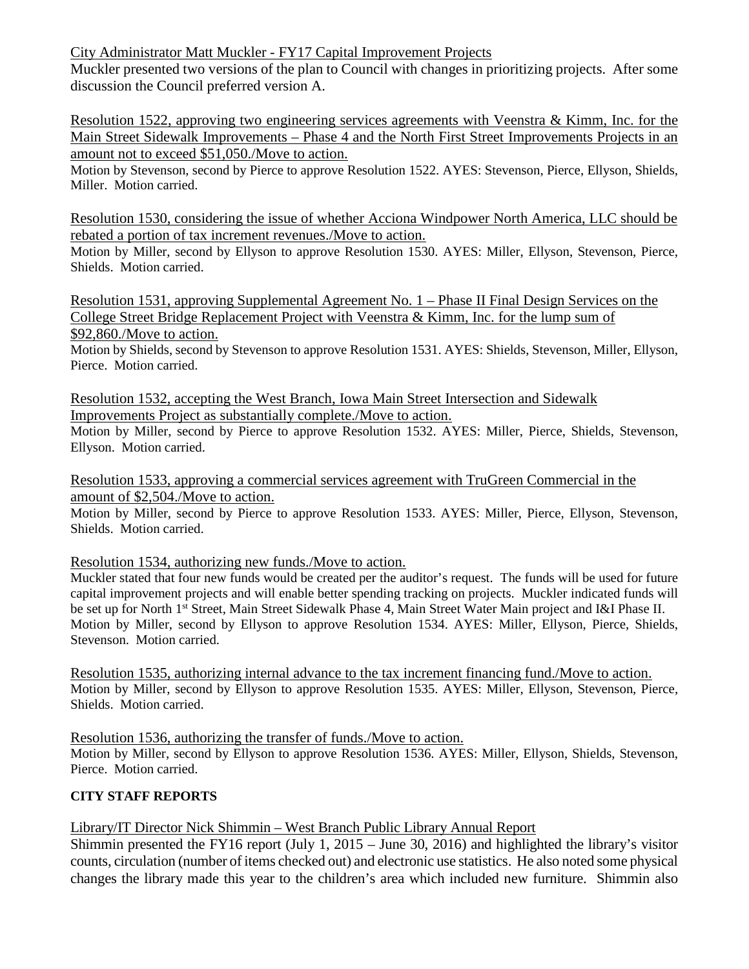City Administrator Matt Muckler - FY17 Capital Improvement Projects

Muckler presented two versions of the plan to Council with changes in prioritizing projects. After some discussion the Council preferred version A.

Resolution 1522, approving two engineering services agreements with Veenstra & Kimm, Inc. for the Main Street Sidewalk Improvements – Phase 4 and the North First Street Improvements Projects in an amount not to exceed \$51,050./Move to action.

Motion by Stevenson, second by Pierce to approve Resolution 1522. AYES: Stevenson, Pierce, Ellyson, Shields, Miller. Motion carried.

Resolution 1530, considering the issue of whether Acciona Windpower North America, LLC should be rebated a portion of tax increment revenues./Move to action.

Motion by Miller, second by Ellyson to approve Resolution 1530. AYES: Miller, Ellyson, Stevenson, Pierce, Shields. Motion carried.

Resolution 1531, approving Supplemental Agreement No. 1 – Phase II Final Design Services on the College Street Bridge Replacement Project with Veenstra & Kimm, Inc. for the lump sum of \$92,860./Move to action.

Motion by Shields, second by Stevenson to approve Resolution 1531. AYES: Shields, Stevenson, Miller, Ellyson, Pierce. Motion carried.

Resolution 1532, accepting the West Branch, Iowa Main Street Intersection and Sidewalk Improvements Project as substantially complete./Move to action.

Motion by Miller, second by Pierce to approve Resolution 1532. AYES: Miller, Pierce, Shields, Stevenson, Ellyson. Motion carried.

Resolution 1533, approving a commercial services agreement with TruGreen Commercial in the amount of \$2,504./Move to action.

Motion by Miller, second by Pierce to approve Resolution 1533. AYES: Miller, Pierce, Ellyson, Stevenson, Shields. Motion carried.

Resolution 1534, authorizing new funds./Move to action.

Muckler stated that four new funds would be created per the auditor's request. The funds will be used for future capital improvement projects and will enable better spending tracking on projects. Muckler indicated funds will be set up for North 1<sup>st</sup> Street, Main Street Sidewalk Phase 4, Main Street Water Main project and I&I Phase II. Motion by Miller, second by Ellyson to approve Resolution 1534. AYES: Miller, Ellyson, Pierce, Shields, Stevenson. Motion carried.

Resolution 1535, authorizing internal advance to the tax increment financing fund./Move to action. Motion by Miller, second by Ellyson to approve Resolution 1535. AYES: Miller, Ellyson, Stevenson, Pierce, Shields. Motion carried.

Resolution 1536, authorizing the transfer of funds./Move to action.

Motion by Miller, second by Ellyson to approve Resolution 1536. AYES: Miller, Ellyson, Shields, Stevenson, Pierce. Motion carried.

# **CITY STAFF REPORTS**

# Library/IT Director Nick Shimmin – West Branch Public Library Annual Report

Shimmin presented the FY16 report (July 1, 2015 – June 30, 2016) and highlighted the library's visitor counts, circulation (number of items checked out) and electronic use statistics. He also noted some physical changes the library made this year to the children's area which included new furniture. Shimmin also